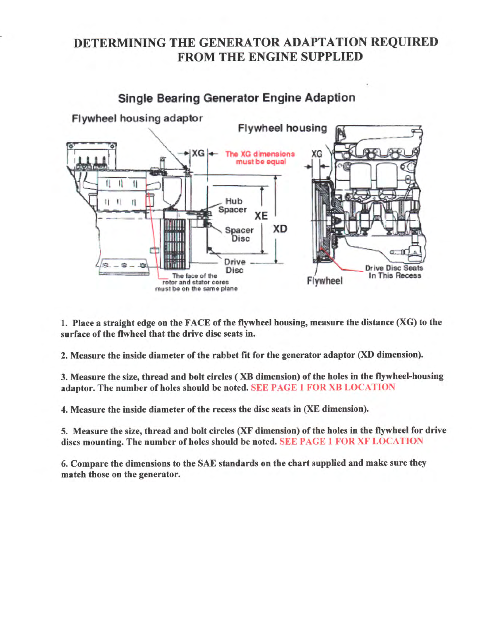## DETERMINING THE GENERATOR ADAPTATION REQUIRED FROM THE ENGINE SUPPLIED



1. Place a straight edge on the  $FACE$  of the flywheel housing, measure the distance  $(XG)$  to the surface of the flwheel that the drive disc seats in.

2. Measure the inside diameter of the rabbet fit for the generator adaptor (XD dimension).

3. Measure the size, thread and bolt circles (XB dimension) of the holes in the flywheel-housing adaptor. The number of holes should be noted. SEE PAGE 1 FOR XB LOCATION

4. Measure the inside diameter of the recess the disc seats in (XE dimension).

5. Measure the size, thread and bolt circles (XF dimension) of the holes in the flywheel for drive discs mounting. The number of holes should be noted. SEE PAGE 1 FOR XF LOCATION

6. Compare the dimensions to the SAE standards on the chart supplied and make sure they match those on the generator.